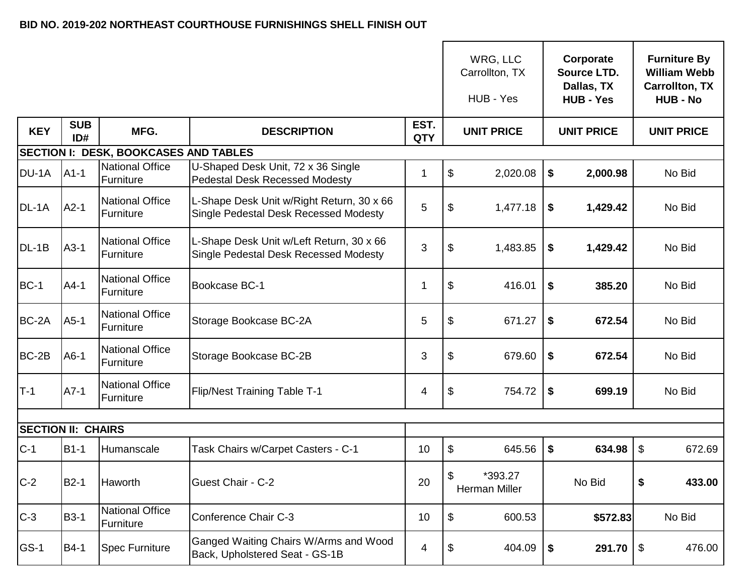## **BID NO. 2019-202 NORTHEAST COURTHOUSE FURNISHINGS SHELL FINISH OUT**

|                                              |                   |                                     |                                                                                    |                    |    | WRG, LLC<br>Carrollton, TX<br>HUB - Yes |    | Corporate<br>Source LTD.<br>Dallas, TX<br><b>HUB - Yes</b> |                   | <b>Furniture By</b><br><b>William Webb</b><br><b>Carrollton, TX</b><br><b>HUB - No</b> |  |  |
|----------------------------------------------|-------------------|-------------------------------------|------------------------------------------------------------------------------------|--------------------|----|-----------------------------------------|----|------------------------------------------------------------|-------------------|----------------------------------------------------------------------------------------|--|--|
| <b>KEY</b>                                   | <b>SUB</b><br>ID# | MFG.                                | <b>DESCRIPTION</b>                                                                 | EST.<br><b>QTY</b> |    | <b>UNIT PRICE</b>                       |    | <b>UNIT PRICE</b>                                          | <b>UNIT PRICE</b> |                                                                                        |  |  |
| <b>SECTION I: DESK, BOOKCASES AND TABLES</b> |                   |                                     |                                                                                    |                    |    |                                         |    |                                                            |                   |                                                                                        |  |  |
| DU-1A                                        | $A1-1$            | <b>National Office</b><br>Furniture | U-Shaped Desk Unit, 72 x 36 Single<br><b>Pedestal Desk Recessed Modesty</b>        | 1                  | \$ | 2,020.08                                | \$ | 2,000.98                                                   |                   | No Bid                                                                                 |  |  |
| DL-1A                                        | $A2-1$            | <b>National Office</b><br>Furniture | L-Shape Desk Unit w/Right Return, 30 x 66<br>Single Pedestal Desk Recessed Modesty | 5                  | \$ | 1,477.18                                | \$ | 1,429.42                                                   |                   | No Bid                                                                                 |  |  |
| DL-1B                                        | $A3-1$            | <b>National Office</b><br>Furniture | L-Shape Desk Unit w/Left Return, 30 x 66<br>Single Pedestal Desk Recessed Modesty  | 3                  | \$ | 1,483.85                                | \$ | 1,429.42                                                   |                   | No Bid                                                                                 |  |  |
| <b>BC-1</b>                                  | $A4-1$            | <b>National Office</b><br>Furniture | Bookcase BC-1                                                                      | 1                  | \$ | 416.01                                  | \$ | 385.20                                                     |                   | No Bid                                                                                 |  |  |
| BC-2A                                        | $A5-1$            | <b>National Office</b><br>Furniture | Storage Bookcase BC-2A                                                             | 5                  | \$ | 671.27                                  | \$ | 672.54                                                     |                   | No Bid                                                                                 |  |  |
| BC-2B                                        | $A6-1$            | <b>National Office</b><br>Furniture | Storage Bookcase BC-2B                                                             | 3                  | \$ | 679.60                                  | \$ | 672.54                                                     |                   | No Bid                                                                                 |  |  |
| $T-1$                                        | $A7-1$            | <b>National Office</b><br>Furniture | <b>Flip/Nest Training Table T-1</b>                                                | 4                  | \$ | 754.72                                  | \$ | 699.19                                                     |                   | No Bid                                                                                 |  |  |
|                                              |                   |                                     |                                                                                    |                    |    |                                         |    |                                                            |                   |                                                                                        |  |  |
| <b>SECTION II: CHAIRS</b>                    |                   |                                     |                                                                                    |                    |    |                                         |    |                                                            |                   |                                                                                        |  |  |
| $C-1$                                        | $B1-1$            | <b>Humanscale</b>                   | Task Chairs w/Carpet Casters - C-1                                                 | 10                 | \$ | 645.56                                  | \$ | 634.98                                                     | $\mathfrak{L}$    | 672.69                                                                                 |  |  |
| $C-2$                                        | $B2-1$            | Haworth                             | <b>Guest Chair - C-2</b>                                                           | 20                 | \$ | *393.27<br>Herman Miller                |    | No Bid                                                     | \$                | 433.00                                                                                 |  |  |
| $C-3$                                        | <b>B3-1</b>       | <b>National Office</b><br>Furniture | Conference Chair C-3                                                               | 10                 | \$ | 600.53                                  |    | \$572.83                                                   |                   | No Bid                                                                                 |  |  |
| GS-1                                         | <b>B4-1</b>       | <b>Spec Furniture</b>               | Ganged Waiting Chairs W/Arms and Wood<br>Back, Upholstered Seat - GS-1B            | 4                  | \$ | 404.09                                  | \$ | 291.70                                                     | \$                | 476.00                                                                                 |  |  |